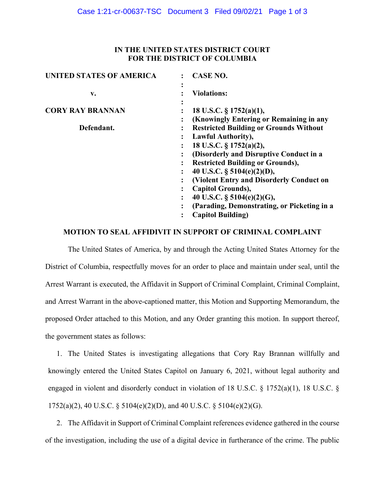# **IN THE UNITED STATES DISTRICT COURT FOR THE DISTRICT OF COLUMBIA**

| <b>UNITED STATES OF AMERICA</b> | <b>CASE NO.</b>                                                                |
|---------------------------------|--------------------------------------------------------------------------------|
| v.                              | <b>Violations:</b>                                                             |
| <b>CORY RAY BRANNAN</b>         | 18 U.S.C. § 1752(a)(1),<br>(Knowingly Entering or Remaining in any             |
| Defendant.                      | <b>Restricted Building or Grounds Without</b><br><b>Lawful Authority),</b>     |
|                                 | 18 U.S.C. § 1752(a)(2),<br>(Disorderly and Disruptive Conduct in a             |
|                                 | <b>Restricted Building or Grounds),</b><br>40 U.S.C. $\S$ 5104(e)(2)(D),       |
|                                 | (Violent Entry and Disorderly Conduct on<br><b>Capitol Grounds),</b>           |
|                                 | 40 U.S.C. § 5104(e)(2)(G),<br>٠<br>(Parading, Demonstrating, or Picketing in a |
|                                 | <b>Capitol Building)</b>                                                       |
|                                 |                                                                                |

### **MOTION TO SEAL AFFIDIVIT IN SUPPORT OF CRIMINAL COMPLAINT**

The United States of America, by and through the Acting United States Attorney for the District of Columbia, respectfully moves for an order to place and maintain under seal, until the Arrest Warrant is executed, the Affidavit in Support of Criminal Complaint, Criminal Complaint, and Arrest Warrant in the above-captioned matter, this Motion and Supporting Memorandum, the proposed Order attached to this Motion, and any Order granting this motion. In support thereof, the government states as follows:

1. The United States is investigating allegations that Cory Ray Brannan willfully and knowingly entered the United States Capitol on January 6, 2021, without legal authority and engaged in violent and disorderly conduct in violation of 18 U.S.C. § 1752(a)(1), 18 U.S.C. § 1752(a)(2), 40 U.S.C. § 5104(e)(2)(D), and 40 U.S.C. § 5104(e)(2)(G).

2. The Affidavit in Support of Criminal Complaint references evidence gathered in the course of the investigation, including the use of a digital device in furtherance of the crime. The public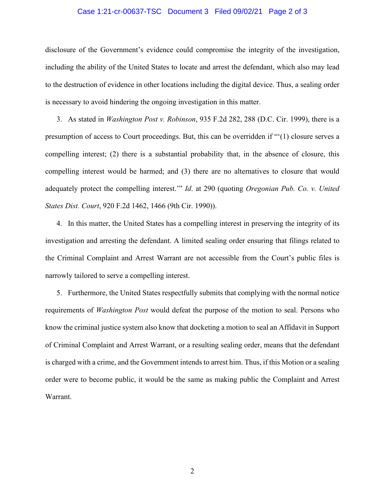#### Case 1:21-cr-00637-TSC Document 3 Filed 09/02/21 Page 2 of 3

disclosure of the Government's evidence could compromise the integrity of the investigation, including the ability of the United States to locate and arrest the defendant, which also may lead to the destruction of evidence in other locations including the digital device. Thus, a sealing order is necessary to avoid hindering the ongoing investigation in this matter.

3. As stated in *Washington Post v. Robinson*, 935 F.2d 282, 288 (D.C. Cir. 1999), there is a presumption of access to Court proceedings. But, this can be overridden if "'(1) closure serves a compelling interest; (2) there is a substantial probability that, in the absence of closure, this compelling interest would be harmed; and (3) there are no alternatives to closure that would adequately protect the compelling interest.'" *Id*. at 290 (quoting *Oregonian Pub. Co. v. United States Dist. Court*, 920 F.2d 1462, 1466 (9th Cir. 1990)).

4. In this matter, the United States has a compelling interest in preserving the integrity of its investigation and arresting the defendant. A limited sealing order ensuring that filings related to the Criminal Complaint and Arrest Warrant are not accessible from the Court's public files is narrowly tailored to serve a compelling interest.

5. Furthermore, the United States respectfully submits that complying with the normal notice requirements of *Washington Post* would defeat the purpose of the motion to seal. Persons who know the criminal justice system also know that docketing a motion to seal an Affidavit in Support of Criminal Complaint and Arrest Warrant, or a resulting sealing order, means that the defendant is charged with a crime, and the Government intends to arrest him. Thus, if this Motion or a sealing order were to become public, it would be the same as making public the Complaint and Arrest Warrant.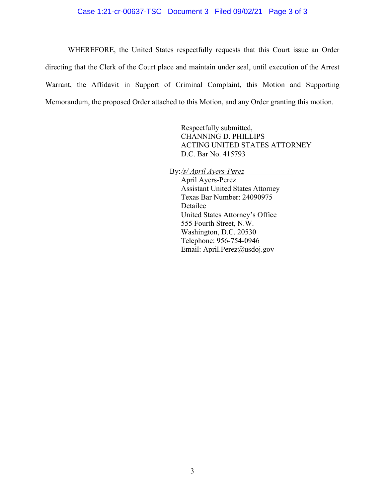#### Case 1:21-cr-00637-TSC Document 3 Filed 09/02/21 Page 3 of 3

WHEREFORE, the United States respectfully requests that this Court issue an Order directing that the Clerk of the Court place and maintain under seal, until execution of the Arrest Warrant, the Affidavit in Support of Criminal Complaint, this Motion and Supporting Memorandum, the proposed Order attached to this Motion, and any Order granting this motion.

> Respectfully submitted, CHANNING D. PHILLIPS ACTING UNITED STATES ATTORNEY D.C. Bar No. 415793

By:*/s/ April Ayers-Perez\_\_\_\_\_\_\_\_\_\_\_\_\_*

April Ayers-Perez Assistant United States Attorney Texas Bar Number: 24090975 Detailee United States Attorney's Office 555 Fourth Street, N.W. Washington, D.C. 20530 Telephone: 956-754-0946 Email: April.Perez@usdoj.gov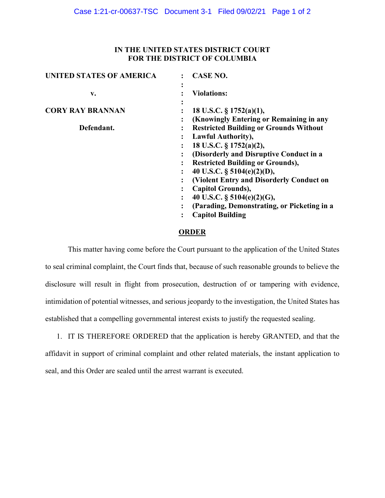# **IN THE UNITED STATES DISTRICT COURT FOR THE DISTRICT OF COLUMBIA**

| <b>UNITED STATES OF AMERICA</b> | <b>CASE NO.</b>                                                                          |  |
|---------------------------------|------------------------------------------------------------------------------------------|--|
| v.                              | <b>Violations:</b>                                                                       |  |
| <b>CORY RAY BRANNAN</b>         | 18 U.S.C. $\S$ 1752(a)(1),                                                               |  |
| Defendant.                      | (Knowingly Entering or Remaining in any<br><b>Restricted Building or Grounds Without</b> |  |
|                                 | <b>Lawful Authority),</b>                                                                |  |
|                                 | 18 U.S.C. § 1752(a)(2),                                                                  |  |
|                                 | (Disorderly and Disruptive Conduct in a                                                  |  |
|                                 | <b>Restricted Building or Grounds),</b>                                                  |  |
|                                 | 40 U.S.C. $\S$ 5104(e)(2)(D),                                                            |  |
|                                 | (Violent Entry and Disorderly Conduct on                                                 |  |
|                                 | Capitol Grounds),                                                                        |  |
|                                 | 40 U.S.C. $\S$ 5104(e)(2)(G),<br>$\ddot{\phantom{a}}$                                    |  |
|                                 | (Parading, Demonstrating, or Picketing in a                                              |  |
|                                 | <b>Capitol Building</b><br>٠                                                             |  |
|                                 |                                                                                          |  |

### **ORDER**

This matter having come before the Court pursuant to the application of the United States to seal criminal complaint, the Court finds that, because of such reasonable grounds to believe the disclosure will result in flight from prosecution, destruction of or tampering with evidence, intimidation of potential witnesses, and serious jeopardy to the investigation, the United States has established that a compelling governmental interest exists to justify the requested sealing.

1. IT IS THEREFORE ORDERED that the application is hereby GRANTED, and that the affidavit in support of criminal complaint and other related materials, the instant application to seal, and this Order are sealed until the arrest warrant is executed.